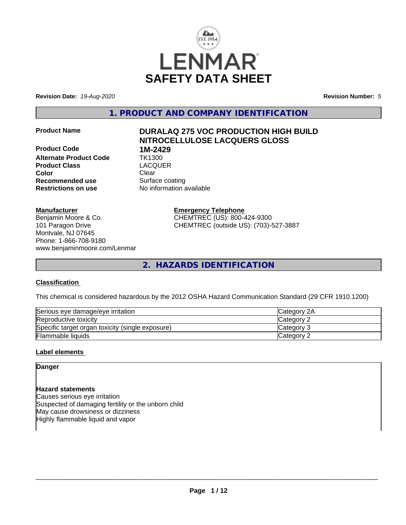

**Revision Date:** *19-Aug-2020* **Revision Number:** *5*

**1. PRODUCT AND COMPANY IDENTIFICATION**

**Product Code 1M-2429 Alternate Product Code TK1300<br>Product Class Code CLACQUER Product Class Color** Clear Clear **Recommended use** Surface coating **Restrictions on use** No information available

# **Product Name DURALAQ 275 VOC PRODUCTION HIGH BUILD NITROCELLULOSE LACQUERS GLOSS**

#### **Manufacturer**

Benjamin Moore & Co. 101 Paragon Drive Montvale, NJ 07645 Phone: 1-866-708-9180 www.benjaminmoore.com/Lenmar **Emergency Telephone** CHEMTREC (US): 800-424-9300 CHEMTREC (outside US): (703)-527-3887

**2. HAZARDS IDENTIFICATION**

# **Classification**

This chemical is considered hazardous by the 2012 OSHA Hazard Communication Standard (29 CFR 1910.1200)

| Serious eye damage/eye irritation                | <b>Category 2A</b> |
|--------------------------------------------------|--------------------|
| Reproductive toxicity                            | <b>Category 2</b>  |
| Specific target organ toxicity (single exposure) | Category 3         |
| Flammable liquids                                | Category 2         |

# **Label elements**

**Danger**

# **Hazard statements**

Causes serious eye irritation Suspected of damaging fertility or the unborn child May cause drowsiness or dizziness Highly flammable liquid and vapor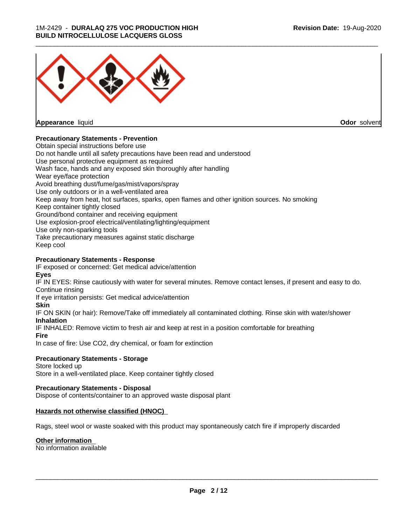## 1M-2429 - **DURALAQ 275 VOC PRODUCTION HIGH BUILD NITROCELLULOSE LACQUERS GLOSS**



**Appearance** liquid

**Odor** solvent

# **Precautionary Statements - Prevention**

Obtain special instructions before use Do not handle until all safety precautions have been read and understood Use personal protective equipment as required Wash face, hands and any exposed skin thoroughly after handling Wear eye/face protection Avoid breathing dust/fume/gas/mist/vapors/spray Use only outdoors or in a well-ventilated area Keep away from heat, hot surfaces, sparks, open flames and other ignition sources. No smoking Keep container tightly closed Ground/bond container and receiving equipment Use explosion-proof electrical/ventilating/lighting/equipment Use only non-sparking tools Take precautionary measures against static discharge Keep cool

# **Precautionary Statements - Response**

IF exposed or concerned: Get medical advice/attention **Eyes**

IF IN EYES: Rinse cautiously with water for several minutes. Remove contact lenses, if present and easy to do. Continue rinsing

If eye irritation persists: Get medical advice/attention

# **Skin**

IF ON SKIN (or hair): Remove/Take off immediately all contaminated clothing. Rinse skin with water/shower **Inhalation**

IF INHALED: Remove victim to fresh air and keep at rest in a position comfortable for breathing

**Fire**

In case of fire: Use CO2, dry chemical, or foam for extinction

# **Precautionary Statements - Storage**

Store locked up Store in a well-ventilated place. Keep container tightly closed

# **Precautionary Statements - Disposal**

Dispose of contents/container to an approved waste disposal plant

# **Hazards not otherwise classified (HNOC)**

Rags, steel wool or waste soaked with this product may spontaneously catch fire if improperly discarded

# **Other information**

No information available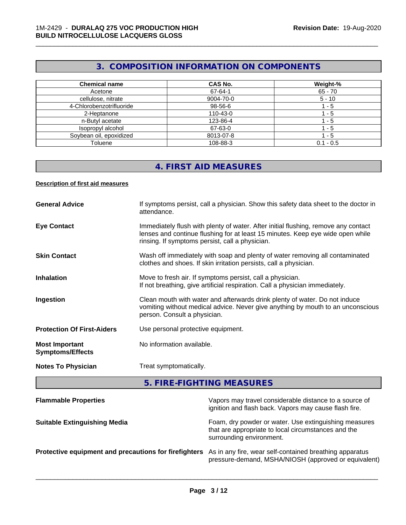# **3. COMPOSITION INFORMATION ON COMPONENTS**

\_\_\_\_\_\_\_\_\_\_\_\_\_\_\_\_\_\_\_\_\_\_\_\_\_\_\_\_\_\_\_\_\_\_\_\_\_\_\_\_\_\_\_\_\_\_\_\_\_\_\_\_\_\_\_\_\_\_\_\_\_\_\_\_\_\_\_\_\_\_\_\_\_\_\_\_\_\_\_\_\_\_\_\_\_\_\_\_\_\_\_\_\_

| <b>Chemical name</b>     | <b>CAS No.</b> | Weight-%    |
|--------------------------|----------------|-------------|
| Acetone                  | 67-64-1        | $65 - 70$   |
| cellulose, nitrate       | 9004-70-0      | $5 - 10$    |
| 4-Chlorobenzotrifluoride | 98-56-6        | - 5         |
| 2-Heptanone              | 110-43-0       | - 5         |
| n-Butyl acetate          | 123-86-4       | - 5         |
| Isopropyl alcohol        | 67-63-0        | - 5         |
| Soybean oil, epoxidized  | 8013-07-8      | - 5         |
| Toluene                  | 108-88-3       | $0.1 - 0.5$ |

# **4. FIRST AID MEASURES**

## **Description of first aid measures**

| <b>General Advice</b>                            | If symptoms persist, call a physician. Show this safety data sheet to the doctor in<br>attendance.                                                                                                                      |
|--------------------------------------------------|-------------------------------------------------------------------------------------------------------------------------------------------------------------------------------------------------------------------------|
| <b>Eye Contact</b>                               | Immediately flush with plenty of water. After initial flushing, remove any contact<br>lenses and continue flushing for at least 15 minutes. Keep eye wide open while<br>rinsing. If symptoms persist, call a physician. |
| <b>Skin Contact</b>                              | Wash off immediately with soap and plenty of water removing all contaminated<br>clothes and shoes. If skin irritation persists, call a physician.                                                                       |
| <b>Inhalation</b>                                | Move to fresh air. If symptoms persist, call a physician.<br>If not breathing, give artificial respiration. Call a physician immediately.                                                                               |
| Ingestion                                        | Clean mouth with water and afterwards drink plenty of water. Do not induce<br>vomiting without medical advice. Never give anything by mouth to an unconscious<br>person. Consult a physician.                           |
| <b>Protection Of First-Aiders</b>                | Use personal protective equipment.                                                                                                                                                                                      |
| <b>Most Important</b><br><b>Symptoms/Effects</b> | No information available.                                                                                                                                                                                               |
| <b>Notes To Physician</b>                        | Treat symptomatically.                                                                                                                                                                                                  |

**5. FIRE-FIGHTING MEASURES**

| <b>Flammable Properties</b>                           | Vapors may travel considerable distance to a source of<br>ignition and flash back. Vapors may cause flash fire.                          |
|-------------------------------------------------------|------------------------------------------------------------------------------------------------------------------------------------------|
| <b>Suitable Extinguishing Media</b>                   | Foam, dry powder or water. Use extinguishing measures<br>that are appropriate to local circumstances and the<br>surrounding environment. |
| Protective equipment and precautions for firefighters | As in any fire, wear self-contained breathing apparatus<br>pressure-demand, MSHA/NIOSH (approved or equivalent)                          |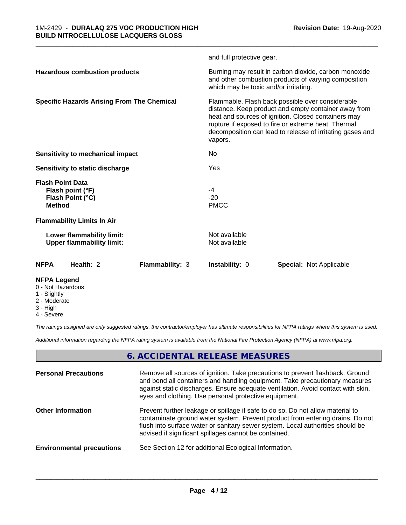|                                                                                  | and full protective gear.                                                                                                                                                                                                                                                                      |
|----------------------------------------------------------------------------------|------------------------------------------------------------------------------------------------------------------------------------------------------------------------------------------------------------------------------------------------------------------------------------------------|
| <b>Hazardous combustion products</b>                                             | Burning may result in carbon dioxide, carbon monoxide<br>and other combustion products of varying composition<br>which may be toxic and/or irritating.                                                                                                                                         |
| <b>Specific Hazards Arising From The Chemical</b>                                | Flammable. Flash back possible over considerable<br>distance. Keep product and empty container away from<br>heat and sources of ignition. Closed containers may<br>rupture if exposed to fire or extreme heat. Thermal<br>decomposition can lead to release of irritating gases and<br>vapors. |
| Sensitivity to mechanical impact                                                 | No                                                                                                                                                                                                                                                                                             |
| Sensitivity to static discharge                                                  | Yes                                                                                                                                                                                                                                                                                            |
| <b>Flash Point Data</b><br>Flash point (°F)<br>Flash Point (°C)<br><b>Method</b> | -4<br>$-20$<br><b>PMCC</b>                                                                                                                                                                                                                                                                     |
| <b>Flammability Limits In Air</b>                                                |                                                                                                                                                                                                                                                                                                |
| Lower flammability limit:<br><b>Upper flammability limit:</b>                    | Not available<br>Not available                                                                                                                                                                                                                                                                 |
| <b>NFPA</b><br>Health: 2<br><b>Flammability: 3</b>                               | Instability: 0<br><b>Special: Not Applicable</b>                                                                                                                                                                                                                                               |
| <b>NFPA Legend</b><br>0 - Not Hazardous                                          |                                                                                                                                                                                                                                                                                                |

\_\_\_\_\_\_\_\_\_\_\_\_\_\_\_\_\_\_\_\_\_\_\_\_\_\_\_\_\_\_\_\_\_\_\_\_\_\_\_\_\_\_\_\_\_\_\_\_\_\_\_\_\_\_\_\_\_\_\_\_\_\_\_\_\_\_\_\_\_\_\_\_\_\_\_\_\_\_\_\_\_\_\_\_\_\_\_\_\_\_\_\_\_

- 1 Slightly
- 2 Moderate
- 3 High
- 4 Severe

*The ratings assigned are only suggested ratings, the contractor/employer has ultimate responsibilities for NFPA ratings where this system is used.*

*Additional information regarding the NFPA rating system is available from the National Fire Protection Agency (NFPA) at www.nfpa.org.*

# **6. ACCIDENTAL RELEASE MEASURES**

| <b>Personal Precautions</b>      | Remove all sources of ignition. Take precautions to prevent flashback. Ground<br>and bond all containers and handling equipment. Take precautionary measures<br>against static discharges. Ensure adequate ventilation. Avoid contact with skin,<br>eyes and clothing. Use personal protective equipment.  |
|----------------------------------|------------------------------------------------------------------------------------------------------------------------------------------------------------------------------------------------------------------------------------------------------------------------------------------------------------|
| <b>Other Information</b>         | Prevent further leakage or spillage if safe to do so. Do not allow material to<br>contaminate ground water system. Prevent product from entering drains. Do not<br>flush into surface water or sanitary sewer system. Local authorities should be<br>advised if significant spillages cannot be contained. |
| <b>Environmental precautions</b> | See Section 12 for additional Ecological Information.                                                                                                                                                                                                                                                      |
|                                  |                                                                                                                                                                                                                                                                                                            |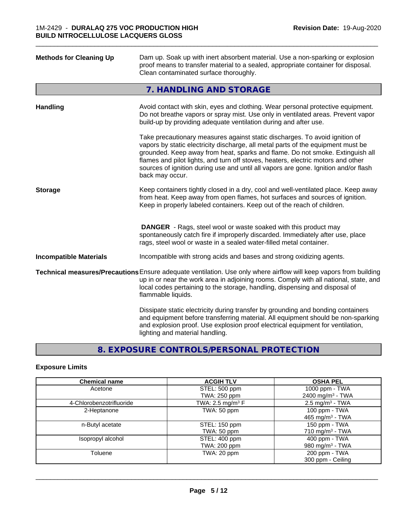| <b>Methods for Cleaning Up</b> | Dam up. Soak up with inert absorbent material. Use a non-sparking or explosion<br>proof means to transfer material to a sealed, appropriate container for disposal.<br>Clean contaminated surface thoroughly.                                                                                                                                                                                                                                  |
|--------------------------------|------------------------------------------------------------------------------------------------------------------------------------------------------------------------------------------------------------------------------------------------------------------------------------------------------------------------------------------------------------------------------------------------------------------------------------------------|
|                                | 7. HANDLING AND STORAGE                                                                                                                                                                                                                                                                                                                                                                                                                        |
| Handling                       | Avoid contact with skin, eyes and clothing. Wear personal protective equipment.<br>Do not breathe vapors or spray mist. Use only in ventilated areas. Prevent vapor<br>build-up by providing adequate ventilation during and after use.                                                                                                                                                                                                        |
|                                | Take precautionary measures against static discharges. To avoid ignition of<br>vapors by static electricity discharge, all metal parts of the equipment must be<br>grounded. Keep away from heat, sparks and flame. Do not smoke. Extinguish all<br>flames and pilot lights, and turn off stoves, heaters, electric motors and other<br>sources of ignition during use and until all vapors are gone. Ignition and/or flash<br>back may occur. |
| <b>Storage</b>                 | Keep containers tightly closed in a dry, cool and well-ventilated place. Keep away<br>from heat. Keep away from open flames, hot surfaces and sources of ignition.<br>Keep in properly labeled containers. Keep out of the reach of children.                                                                                                                                                                                                  |
|                                | <b>DANGER</b> - Rags, steel wool or waste soaked with this product may<br>spontaneously catch fire if improperly discarded. Immediately after use, place<br>rags, steel wool or waste in a sealed water-filled metal container.                                                                                                                                                                                                                |
| <b>Incompatible Materials</b>  | Incompatible with strong acids and bases and strong oxidizing agents.                                                                                                                                                                                                                                                                                                                                                                          |
|                                | Technical measures/Precautions Ensure adequate ventilation. Use only where airflow will keep vapors from building<br>up in or near the work area in adjoining rooms. Comply with all national, state, and<br>local codes pertaining to the storage, handling, dispensing and disposal of<br>flammable liquids.                                                                                                                                 |
|                                | Dissipate static electricity during transfer by grounding and bonding containers<br>and equipment before transferring material. All equipment should be non-sparking<br>and explosion proof. Use explosion proof electrical equipment for ventilation,<br>lighting and material handling.                                                                                                                                                      |
|                                |                                                                                                                                                                                                                                                                                                                                                                                                                                                |

# **8. EXPOSURE CONTROLS/PERSONAL PROTECTION**

# **Exposure Limits**

| <b>Chemical name</b>     | <b>ACGIH TLV</b>               | <b>OSHA PEL</b>              |
|--------------------------|--------------------------------|------------------------------|
| Acetone                  | STEL: 500 ppm                  | 1000 ppm - TWA               |
|                          | TWA: 250 ppm                   | 2400 mg/m <sup>3</sup> - TWA |
| 4-Chlorobenzotrifluoride | TWA: 2.5 mg/m <sup>3</sup> $F$ | $2.5 \text{ mg/m}^3$ - TWA   |
| 2-Heptanone              | TWA: 50 ppm                    | 100 ppm - $TWA$              |
|                          |                                | 465 mg/m <sup>3</sup> - TWA  |
| n-Butyl acetate          | STEL: 150 ppm                  | 150 ppm - TWA                |
|                          | TWA: 50 ppm                    | 710 mg/m $3$ - TWA           |
| Isopropyl alcohol        | STEL: 400 ppm                  | 400 ppm - TWA                |
|                          | TWA: 200 ppm                   | 980 mg/m <sup>3</sup> - TWA  |
| Toluene                  | TWA: 20 ppm                    | 200 ppm - TWA                |
|                          |                                | 300 ppm - Ceiling            |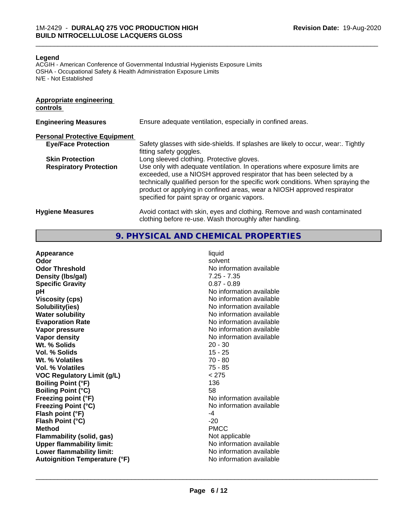#### **Legend**

ACGIH - American Conference of Governmental Industrial Hygienists Exposure Limits OSHA - Occupational Safety & Health Administration Exposure Limits N/E - Not Established

#### **Appropriate engineering controls**

| <b>Engineering Measures</b>          | Ensure adequate ventilation, especially in confined areas.                                                                                                                                                                                                                                                                                                          |
|--------------------------------------|---------------------------------------------------------------------------------------------------------------------------------------------------------------------------------------------------------------------------------------------------------------------------------------------------------------------------------------------------------------------|
| <b>Personal Protective Equipment</b> |                                                                                                                                                                                                                                                                                                                                                                     |
| <b>Eye/Face Protection</b>           | Safety glasses with side-shields. If splashes are likely to occur, wear:. Tightly<br>fitting safety goggles.                                                                                                                                                                                                                                                        |
| <b>Skin Protection</b>               | Long sleeved clothing. Protective gloves.                                                                                                                                                                                                                                                                                                                           |
| <b>Respiratory Protection</b>        | Use only with adequate ventilation. In operations where exposure limits are<br>exceeded, use a NIOSH approved respirator that has been selected by a<br>technically qualified person for the specific work conditions. When spraying the<br>product or applying in confined areas, wear a NIOSH approved respirator<br>specified for paint spray or organic vapors. |
| <b>Hygiene Measures</b>              | Avoid contact with skin, eyes and clothing. Remove and wash contaminated<br>clothing before re-use. Wash thoroughly after handling.                                                                                                                                                                                                                                 |

\_\_\_\_\_\_\_\_\_\_\_\_\_\_\_\_\_\_\_\_\_\_\_\_\_\_\_\_\_\_\_\_\_\_\_\_\_\_\_\_\_\_\_\_\_\_\_\_\_\_\_\_\_\_\_\_\_\_\_\_\_\_\_\_\_\_\_\_\_\_\_\_\_\_\_\_\_\_\_\_\_\_\_\_\_\_\_\_\_\_\_\_\_

**9. PHYSICAL AND CHEMICAL PROPERTIES**

| $0.87 - 0.89$<br><b>Specific Gravity</b><br>No information available<br>рH<br>No information available<br><b>Viscosity (cps)</b><br>No information available<br>Solubility(ies)<br>No information available<br><b>Water solubility</b><br>No information available<br><b>Evaporation Rate</b><br>No information available<br>Vapor pressure<br>No information available<br>Vapor density<br>Wt. % Solids<br>$20 - 30$<br>$15 - 25$<br>Vol. % Solids<br>$70 - 80$<br>Wt. % Volatiles<br>$75 - 85$<br>Vol. % Volatiles<br>< 275<br><b>VOC Regulatory Limit (g/L)</b><br>136<br><b>Boiling Point (°F)</b><br>58<br><b>Boiling Point (°C)</b><br>No information available<br>Freezing point (°F)<br>No information available<br><b>Freezing Point (°C)</b><br>Flash point (°F)<br>-4<br>$-20$<br>Flash Point (°C)<br><b>PMCC</b><br><b>Method</b><br>Not applicable<br>Flammability (solid, gas)<br>No information available<br><b>Upper flammability limit:</b> |  |
|--------------------------------------------------------------------------------------------------------------------------------------------------------------------------------------------------------------------------------------------------------------------------------------------------------------------------------------------------------------------------------------------------------------------------------------------------------------------------------------------------------------------------------------------------------------------------------------------------------------------------------------------------------------------------------------------------------------------------------------------------------------------------------------------------------------------------------------------------------------------------------------------------------------------------------------------------------------|--|
| Lower flammability limit:<br>No information available<br>No information available<br><b>Autoignition Temperature (°F)</b>                                                                                                                                                                                                                                                                                                                                                                                                                                                                                                                                                                                                                                                                                                                                                                                                                                    |  |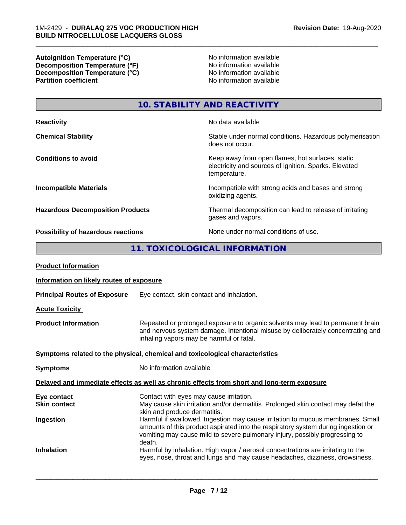**Autoignition Temperature (°C)**<br> **Decomposition Temperature (°F)** No information available<br>
No information available **Decomposition Temperature (°F)**<br> **Decomposition Temperature (°C)**<br>
No information available<br>
No information available **Decomposition Temperature (°C)**<br>Partition coefficient

**No information available** 

\_\_\_\_\_\_\_\_\_\_\_\_\_\_\_\_\_\_\_\_\_\_\_\_\_\_\_\_\_\_\_\_\_\_\_\_\_\_\_\_\_\_\_\_\_\_\_\_\_\_\_\_\_\_\_\_\_\_\_\_\_\_\_\_\_\_\_\_\_\_\_\_\_\_\_\_\_\_\_\_\_\_\_\_\_\_\_\_\_\_\_\_\_

**10. STABILITY AND REACTIVITY**

| <b>Reactivity</b>                       | No data available                                                                                                         |
|-----------------------------------------|---------------------------------------------------------------------------------------------------------------------------|
| <b>Chemical Stability</b>               | Stable under normal conditions. Hazardous polymerisation<br>does not occur.                                               |
| <b>Conditions to avoid</b>              | Keep away from open flames, hot surfaces, static<br>electricity and sources of ignition. Sparks. Elevated<br>temperature. |
| <b>Incompatible Materials</b>           | Incompatible with strong acids and bases and strong<br>oxidizing agents.                                                  |
| <b>Hazardous Decomposition Products</b> | Thermal decomposition can lead to release of irritating<br>gases and vapors.                                              |
| Possibility of hazardous reactions      | None under normal conditions of use.                                                                                      |

# **11. TOXICOLOGICAL INFORMATION**

| <b>Product Information</b>                                                                 |                                                                                                                                                                                                                                                               |  |
|--------------------------------------------------------------------------------------------|---------------------------------------------------------------------------------------------------------------------------------------------------------------------------------------------------------------------------------------------------------------|--|
| Information on likely routes of exposure                                                   |                                                                                                                                                                                                                                                               |  |
| <b>Principal Routes of Exposure</b>                                                        | Eye contact, skin contact and inhalation.                                                                                                                                                                                                                     |  |
| <b>Acute Toxicity</b>                                                                      |                                                                                                                                                                                                                                                               |  |
| <b>Product Information</b>                                                                 | Repeated or prolonged exposure to organic solvents may lead to permanent brain<br>and nervous system damage. Intentional misuse by deliberately concentrating and<br>inhaling vapors may be harmful or fatal.                                                 |  |
| Symptoms related to the physical, chemical and toxicological characteristics               |                                                                                                                                                                                                                                                               |  |
| <b>Symptoms</b>                                                                            | No information available                                                                                                                                                                                                                                      |  |
| Delayed and immediate effects as well as chronic effects from short and long-term exposure |                                                                                                                                                                                                                                                               |  |
| Eye contact<br><b>Skin contact</b>                                                         | Contact with eyes may cause irritation.<br>May cause skin irritation and/or dermatitis. Prolonged skin contact may defat the<br>skin and produce dermatitis.                                                                                                  |  |
| Ingestion                                                                                  | Harmful if swallowed. Ingestion may cause irritation to mucous membranes. Small<br>amounts of this product aspirated into the respiratory system during ingestion or<br>vomiting may cause mild to severe pulmonary injury, possibly progressing to<br>death. |  |
| <b>Inhalation</b>                                                                          | Harmful by inhalation. High vapor / aerosol concentrations are irritating to the<br>eyes, nose, throat and lungs and may cause headaches, dizziness, drowsiness,                                                                                              |  |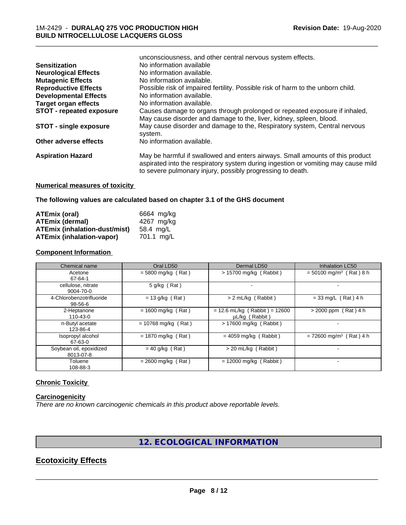|                                 | unconsciousness, and other central nervous system effects.                        |
|---------------------------------|-----------------------------------------------------------------------------------|
| <b>Sensitization</b>            | No information available                                                          |
| <b>Neurological Effects</b>     | No information available.                                                         |
| <b>Mutagenic Effects</b>        | No information available.                                                         |
| <b>Reproductive Effects</b>     | Possible risk of impaired fertility. Possible risk of harm to the unborn child.   |
| <b>Developmental Effects</b>    | No information available.                                                         |
| <b>Target organ effects</b>     | No information available.                                                         |
| <b>STOT - repeated exposure</b> | Causes damage to organs through prolonged or repeated exposure if inhaled,        |
|                                 | May cause disorder and damage to the, liver, kidney, spleen, blood.               |
| <b>STOT - single exposure</b>   | May cause disorder and damage to the, Respiratory system, Central nervous         |
|                                 | system.                                                                           |
| Other adverse effects           | No information available.                                                         |
| <b>Aspiration Hazard</b>        | May be harmful if swallowed and enters airways. Small amounts of this product     |
|                                 | aspirated into the respiratory system during ingestion or vomiting may cause mild |
|                                 | to severe pulmonary injury, possibly progressing to death.                        |
|                                 |                                                                                   |

\_\_\_\_\_\_\_\_\_\_\_\_\_\_\_\_\_\_\_\_\_\_\_\_\_\_\_\_\_\_\_\_\_\_\_\_\_\_\_\_\_\_\_\_\_\_\_\_\_\_\_\_\_\_\_\_\_\_\_\_\_\_\_\_\_\_\_\_\_\_\_\_\_\_\_\_\_\_\_\_\_\_\_\_\_\_\_\_\_\_\_\_\_

# **Numerical measures of toxicity**

**The following values are calculated based on chapter 3.1 of the GHS document**

| ATEmix (oral)                    | 6664 mg/kg |
|----------------------------------|------------|
| <b>ATEmix (dermal)</b>           | 4267 ma/ka |
| ATEmix (inhalation-dust/mist)    | 58.4 mg/L  |
| <b>ATEmix (inhalation-vapor)</b> | 701.1 ma/L |

# **Component Information**

| Chemical name                        | Oral LD50             | Dermal LD50                                       | <b>Inhalation LC50</b>                |
|--------------------------------------|-----------------------|---------------------------------------------------|---------------------------------------|
| Acetone<br>67-64-1                   | $= 5800$ mg/kg (Rat)  | $> 15700$ mg/kg (Rabbit)                          | $=$ 50100 mg/m <sup>3</sup> (Rat) 8 h |
| cellulose, nitrate<br>9004-70-0      | $5$ g/kg (Rat)        |                                                   |                                       |
| 4-Chlorobenzotrifluoride<br>98-56-6  | $= 13$ g/kg (Rat)     | > 2 mL/kg (Rabbit)                                | $= 33$ mg/L (Rat) 4 h                 |
| 2-Heptanone<br>110-43-0              | $= 1600$ mg/kg (Rat)  | $= 12.6$ mL/kg (Rabbit) = 12600<br>µL/kg (Rabbit) | $> 2000$ ppm (Rat) 4 h                |
| n-Butyl acetate<br>123-86-4          | $= 10768$ mg/kg (Rat) | $> 17600$ mg/kg (Rabbit)                          |                                       |
| Isopropyl alcohol<br>67-63-0         | $= 1870$ mg/kg (Rat)  | $= 4059$ mg/kg (Rabbit)                           | $= 72600$ mg/m <sup>3</sup> (Rat) 4 h |
| Soybean oil, epoxidized<br>8013-07-8 | $= 40$ g/kg (Rat)     | > 20 mL/kg (Rabbit)                               |                                       |
| Toluene<br>108-88-3                  | $= 2600$ mg/kg (Rat)  | $= 12000$ mg/kg (Rabbit)                          |                                       |

## **Chronic Toxicity**

## **Carcinogenicity**

*There are no known carcinogenic chemicals in this product above reportable levels.*

# **12. ECOLOGICAL INFORMATION**

# **Ecotoxicity Effects**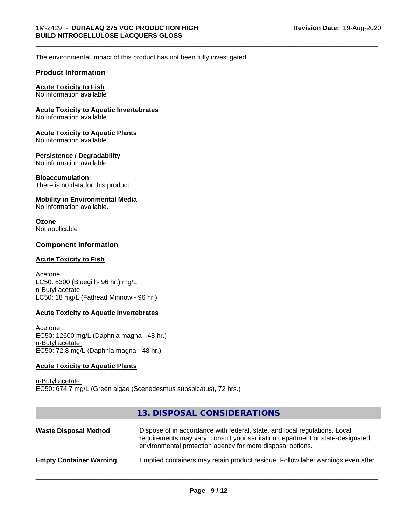\_\_\_\_\_\_\_\_\_\_\_\_\_\_\_\_\_\_\_\_\_\_\_\_\_\_\_\_\_\_\_\_\_\_\_\_\_\_\_\_\_\_\_\_\_\_\_\_\_\_\_\_\_\_\_\_\_\_\_\_\_\_\_\_\_\_\_\_\_\_\_\_\_\_\_\_\_\_\_\_\_\_\_\_\_\_\_\_\_\_\_\_\_

The environmental impact of this product has not been fully investigated.

## **Product Information**

# **Acute Toxicity to Fish**

No information available

#### **Acute Toxicity to Aquatic Invertebrates**

No information available

#### **Acute Toxicity to Aquatic Plants**

No information available

#### **Persistence / Degradability**

No information available.

#### **Bioaccumulation**

There is no data for this product.

#### **Mobility in Environmental Media**

No information available.

#### **Ozone** Not applicable

#### **Component Information**

#### **Acute Toxicity to Fish**

Acetone LC50: 8300 (Bluegill - 96 hr.) mg/L n-Butyl acetate LC50: 18 mg/L (Fathead Minnow - 96 hr.)

#### **Acute Toxicity to Aquatic Invertebrates**

Acetone EC50: 12600 mg/L (Daphnia magna - 48 hr.) n-Butyl acetate EC50: 72.8 mg/L (Daphnia magna - 48 hr.)

#### **Acute Toxicity to Aquatic Plants**

n-Butyl acetate EC50: 674.7 mg/L (Green algae (Scenedesmus subspicatus), 72 hrs.)

# **13. DISPOSAL CONSIDERATIONS**

| <b>Waste Disposal Method</b>   | Dispose of in accordance with federal, state, and local regulations. Local<br>requirements may vary, consult your sanitation department or state-designated<br>environmental protection agency for more disposal options. |
|--------------------------------|---------------------------------------------------------------------------------------------------------------------------------------------------------------------------------------------------------------------------|
| <b>Empty Container Warning</b> | Emptied containers may retain product residue. Follow label warnings even after                                                                                                                                           |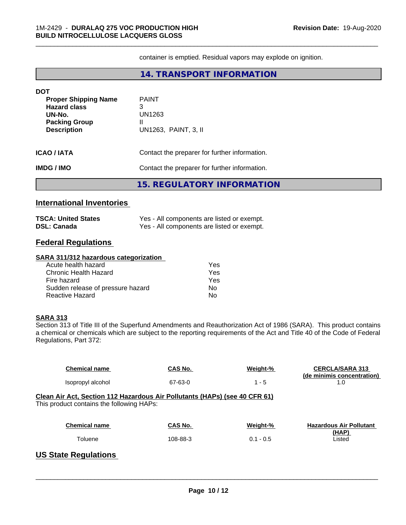container is emptied. Residual vapors may explode on ignition.

\_\_\_\_\_\_\_\_\_\_\_\_\_\_\_\_\_\_\_\_\_\_\_\_\_\_\_\_\_\_\_\_\_\_\_\_\_\_\_\_\_\_\_\_\_\_\_\_\_\_\_\_\_\_\_\_\_\_\_\_\_\_\_\_\_\_\_\_\_\_\_\_\_\_\_\_\_\_\_\_\_\_\_\_\_\_\_\_\_\_\_\_\_

# **14. TRANSPORT INFORMATION**

| <b>DOT</b><br><b>Proper Shipping Name</b><br><b>Hazard class</b><br>UN-No.<br><b>Packing Group</b><br><b>Description</b> | <b>PAINT</b><br>3<br>UN1263<br>Ш<br>UN1263, PAINT, 3, II |  |
|--------------------------------------------------------------------------------------------------------------------------|----------------------------------------------------------|--|
| <b>ICAO/IATA</b>                                                                                                         | Contact the preparer for further information.            |  |
| <b>IMDG/IMO</b>                                                                                                          | Contact the preparer for further information.            |  |
|                                                                                                                          | <b>15. REGULATORY INFORMATION</b>                        |  |

# **International Inventories**

| <b>TSCA: United States</b> | Yes - All components are listed or exempt. |
|----------------------------|--------------------------------------------|
| <b>DSL: Canada</b>         | Yes - All components are listed or exempt. |

# **Federal Regulations**

#### **SARA 311/312 hazardous categorization**

| Acute health hazard               | Yes |
|-----------------------------------|-----|
| Chronic Health Hazard             | Yes |
| Fire hazard                       | Yes |
| Sudden release of pressure hazard | N٥  |
| Reactive Hazard                   | N٥  |

#### **SARA 313**

Section 313 of Title III of the Superfund Amendments and Reauthorization Act of 1986 (SARA). This product contains a chemical or chemicals which are subject to the reporting requirements of the Act and Title 40 of the Code of Federal Regulations, Part 372:

| <b>Chemical name</b>                                                                                                    | CAS No.        | Weight-%    | <b>CERCLA/SARA 313</b><br>(de minimis concentration) |  |
|-------------------------------------------------------------------------------------------------------------------------|----------------|-------------|------------------------------------------------------|--|
| Isopropyl alcohol                                                                                                       | 67-63-0        | $1 - 5$     | 1.0                                                  |  |
| Clean Air Act, Section 112 Hazardous Air Pollutants (HAPs) (see 40 CFR 61)<br>This product contains the following HAPs: |                |             |                                                      |  |
| <b>Chemical name</b>                                                                                                    | <b>CAS No.</b> | Weight-%    | <b>Hazardous Air Pollutant</b><br>(HAP)              |  |
| Toluene                                                                                                                 | 108-88-3       | $0.1 - 0.5$ | Listed                                               |  |
| <b>US State Regulations</b>                                                                                             |                |             |                                                      |  |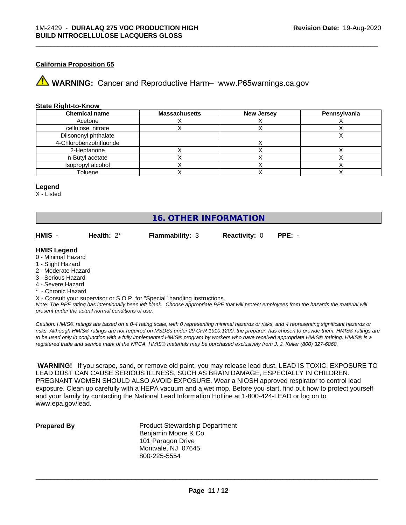## **California Proposition 65**

**AVIMARNING:** Cancer and Reproductive Harm– www.P65warnings.ca.gov

#### **State Right-to-Know**

| <b>Chemical name</b>     | <b>Massachusetts</b> | <b>New Jersey</b> | Pennsylvania |
|--------------------------|----------------------|-------------------|--------------|
| Acetone                  |                      |                   |              |
| cellulose, nitrate       |                      |                   |              |
| Diisononyl phthalate     |                      |                   |              |
| 4-Chlorobenzotrifluoride |                      |                   |              |
| 2-Heptanone              |                      |                   |              |
| n-Butyl acetate          |                      |                   |              |
| Isopropyl alcohol        |                      |                   |              |
| Toluene                  |                      |                   |              |

\_\_\_\_\_\_\_\_\_\_\_\_\_\_\_\_\_\_\_\_\_\_\_\_\_\_\_\_\_\_\_\_\_\_\_\_\_\_\_\_\_\_\_\_\_\_\_\_\_\_\_\_\_\_\_\_\_\_\_\_\_\_\_\_\_\_\_\_\_\_\_\_\_\_\_\_\_\_\_\_\_\_\_\_\_\_\_\_\_\_\_\_\_

#### **Legend**

X - Listed

# **16. OTHER INFORMATION**

**HMIS** - **Health:** 2\* **Flammability:** 3 **Reactivity:** 0 **PPE:** -

#### **HMIS Legend**

- 0 Minimal Hazard
- 1 Slight Hazard
- 2 Moderate Hazard
- 3 Serious Hazard
- 4 Severe Hazard
- Chronic Hazard

X - Consult your supervisor or S.O.P. for "Special" handling instructions.

*Note: The PPE rating has intentionally been left blank. Choose appropriate PPE that will protect employees from the hazards the material will present under the actual normal conditions of use.*

*Caution: HMISÒ ratings are based on a 0-4 rating scale, with 0 representing minimal hazards or risks, and 4 representing significant hazards or risks. Although HMISÒ ratings are not required on MSDSs under 29 CFR 1910.1200, the preparer, has chosen to provide them. HMISÒ ratings are to be used only in conjunction with a fully implemented HMISÒ program by workers who have received appropriate HMISÒ training. HMISÒ is a registered trade and service mark of the NPCA. HMISÒ materials may be purchased exclusively from J. J. Keller (800) 327-6868.*

 **WARNING!** If you scrape, sand, or remove old paint, you may release lead dust. LEAD IS TOXIC. EXPOSURE TO LEAD DUST CAN CAUSE SERIOUS ILLNESS, SUCH AS BRAIN DAMAGE, ESPECIALLY IN CHILDREN. PREGNANT WOMEN SHOULD ALSO AVOID EXPOSURE.Wear a NIOSH approved respirator to control lead exposure. Clean up carefully with a HEPA vacuum and a wet mop. Before you start, find out how to protect yourself and your family by contacting the National Lead Information Hotline at 1-800-424-LEAD or log on to www.epa.gov/lead.

**Prepared By** Product Stewardship Department Benjamin Moore & Co. 101 Paragon Drive Montvale, NJ 07645 800-225-5554